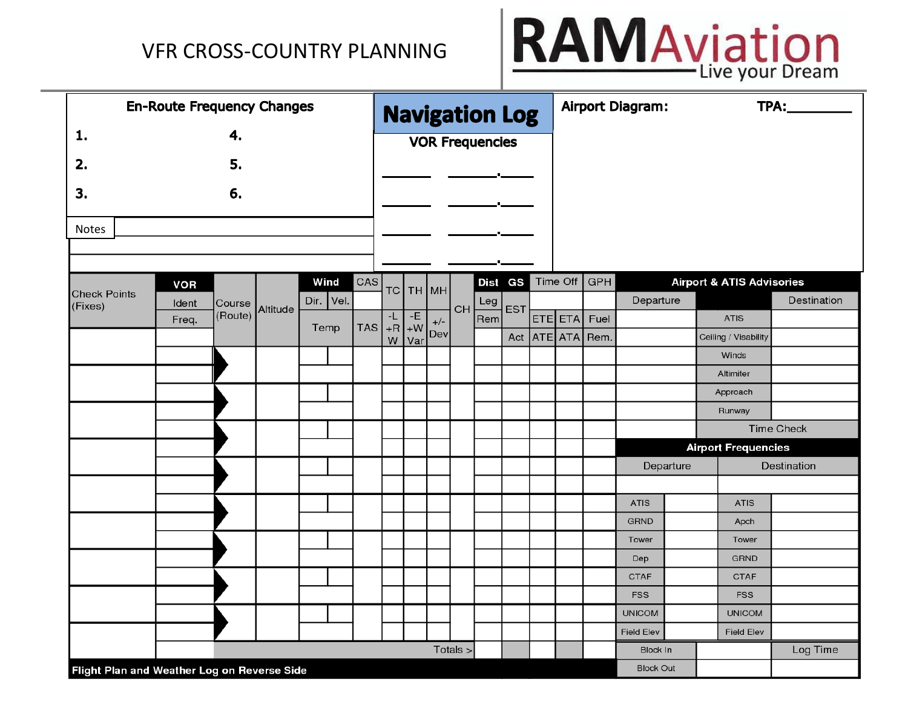

| <b>En-Route Frequency Changes</b>           |            |         |          |           |            |                |         |       |          | <b>Navigation Log</b>  |            |         |                  | <b>Airport Diagram:</b>   |           |                                      | <b>TPA:___________</b> |
|---------------------------------------------|------------|---------|----------|-----------|------------|----------------|---------|-------|----------|------------------------|------------|---------|------------------|---------------------------|-----------|--------------------------------------|------------------------|
| 1.                                          |            | 4.      |          |           |            |                |         |       |          | <b>VOR Frequencies</b> |            |         |                  |                           |           |                                      |                        |
| 2.                                          |            | 5.      |          |           |            |                |         |       |          |                        |            |         |                  |                           |           |                                      |                        |
|                                             |            |         |          |           |            |                |         |       |          |                        |            |         |                  |                           |           |                                      |                        |
| 3.                                          |            | 6.      |          |           |            |                |         |       |          |                        |            |         |                  |                           |           |                                      |                        |
|                                             |            |         |          |           |            |                |         |       |          |                        |            |         |                  |                           |           |                                      |                        |
| Notes                                       |            |         |          |           |            |                |         |       |          |                        |            |         |                  |                           |           |                                      |                        |
|                                             |            |         |          |           |            |                |         |       |          |                        |            |         |                  |                           |           |                                      |                        |
|                                             | <b>VOR</b> |         |          | Wind      | CAS        | TC             | ТН   МН |       |          | Dist GS                |            |         | Time Off $GPH$   |                           |           | <b>Airport &amp; ATIS Advisories</b> |                        |
| <b>Check Points</b><br>(Fixes)              | Ident      | Course  | Altitude | Dir. Vel. |            |                |         |       | CH       | Leg                    | <b>EST</b> |         |                  | Departure                 |           |                                      | Destination            |
|                                             | Freq.      | (Route) |          | Temp      | <b>TAS</b> | -L<br>$+R$ + W | $-E$    | $+/-$ |          | Rem                    |            | ETE ETA | Fuel             |                           |           | <b>ATIS</b>                          |                        |
|                                             |            |         |          |           |            | W              | Var     | Dev   |          |                        |            |         | Act ATE ATA Rem. |                           |           | Ceiling / Visability                 |                        |
|                                             |            |         |          |           |            |                |         |       |          |                        |            |         |                  |                           |           | Winds                                |                        |
|                                             |            |         |          |           |            |                |         |       |          |                        |            |         |                  |                           |           | Altimiter<br>Approach                |                        |
|                                             |            |         |          |           |            |                |         |       |          |                        |            |         |                  |                           |           | Runway                               |                        |
|                                             |            |         |          |           |            |                |         |       |          |                        |            |         |                  |                           |           |                                      | <b>Time Check</b>      |
|                                             |            |         |          |           |            |                |         |       |          |                        |            |         |                  |                           |           | <b>Airport Frequencies</b>           |                        |
|                                             |            |         |          |           |            |                |         |       |          |                        |            |         |                  |                           | Departure |                                      | Destination            |
|                                             |            |         |          |           |            |                |         |       |          |                        |            |         |                  |                           |           |                                      |                        |
|                                             |            |         |          |           |            |                |         |       |          |                        |            |         |                  | <b>ATIS</b>               |           | <b>ATIS</b>                          |                        |
|                                             |            |         |          |           |            |                |         |       |          |                        |            |         |                  | <b>GRND</b>               |           | Apch                                 |                        |
|                                             |            |         |          |           |            |                |         |       |          |                        |            |         |                  | Tower                     |           | Tower                                |                        |
|                                             |            |         |          |           |            |                |         |       |          |                        |            |         |                  | Dep                       |           | <b>GRND</b>                          |                        |
|                                             |            |         |          |           |            |                |         |       |          |                        |            |         |                  | <b>CTAF</b><br><b>FSS</b> |           | <b>CTAF</b><br><b>FSS</b>            |                        |
|                                             |            |         |          |           |            |                |         |       |          |                        |            |         |                  | <b>UNICOM</b>             |           | <b>UNICOM</b>                        |                        |
|                                             |            |         |          |           |            |                |         |       |          |                        |            |         |                  | <b>Field Elev</b>         |           | <b>Field Elev</b>                    |                        |
|                                             |            |         |          |           |            |                |         |       | Totals > |                        |            |         |                  | <b>Block In</b>           |           |                                      | Log Time               |
| Flight Plan and Weather Log on Reverse Side |            |         |          |           |            |                |         |       |          |                        |            |         |                  | <b>Block Out</b>          |           |                                      |                        |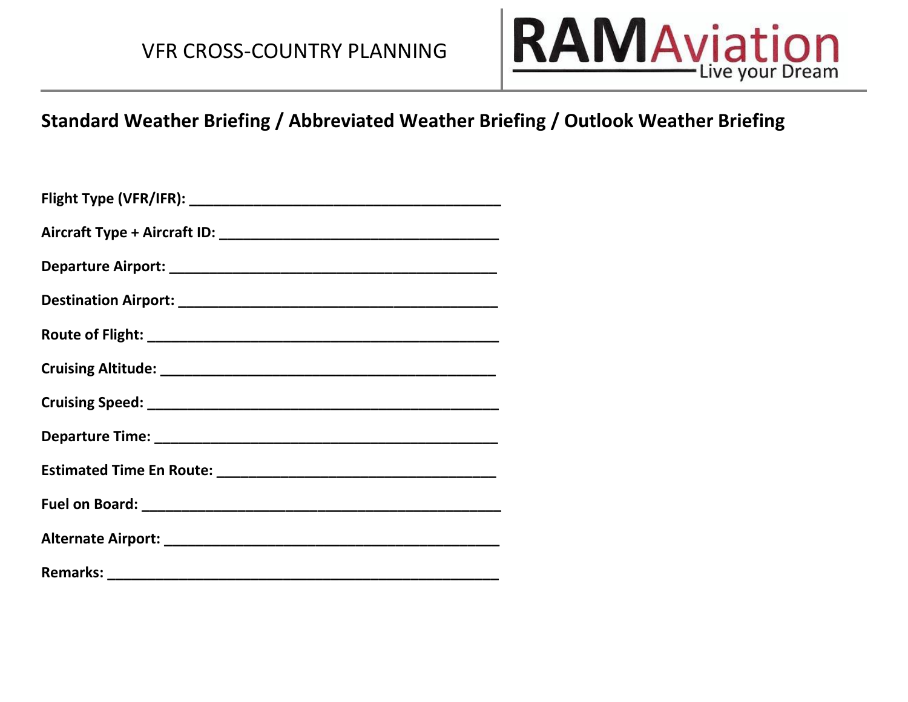

#### **Standard Weather Briefing / Abbreviated Weather Briefing / Outlook Weather Briefing**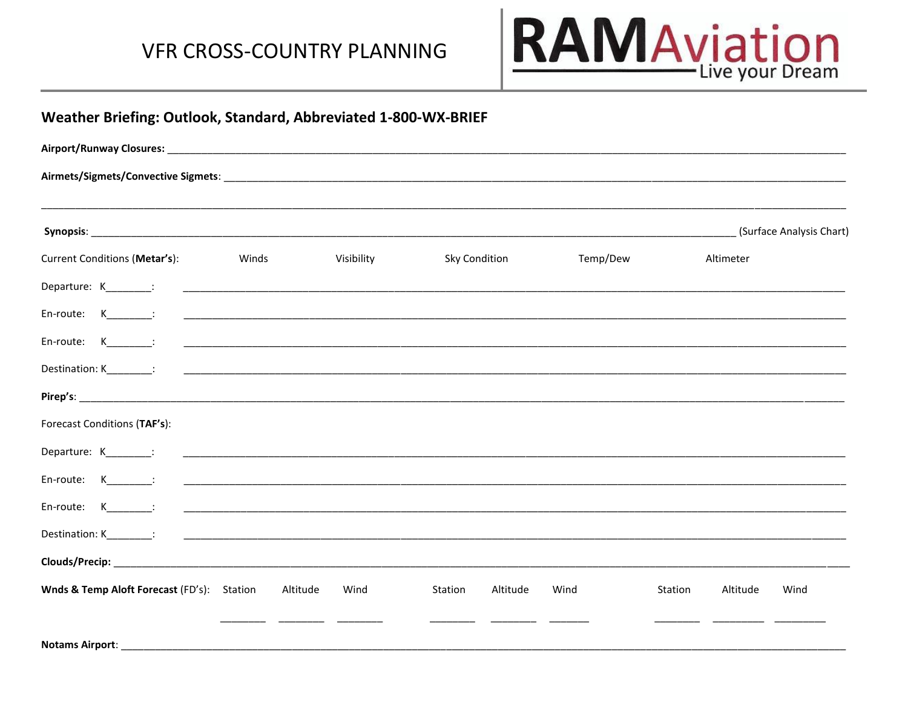

|                                                                                                 |          |            |                                                                                                                      |          |                     | (Surface Analysis Chart) |
|-------------------------------------------------------------------------------------------------|----------|------------|----------------------------------------------------------------------------------------------------------------------|----------|---------------------|--------------------------|
| Current Conditions (Metar's):                                                                   | Winds    | Visibility | <b>Sky Condition</b>                                                                                                 | Temp/Dew | Altimeter           |                          |
|                                                                                                 |          |            |                                                                                                                      |          |                     |                          |
| $En$ -route: $K$ :                                                                              |          |            |                                                                                                                      |          |                     |                          |
|                                                                                                 |          |            |                                                                                                                      |          |                     |                          |
|                                                                                                 |          |            |                                                                                                                      |          |                     |                          |
|                                                                                                 |          |            |                                                                                                                      |          |                     |                          |
| Forecast Conditions (TAF's):                                                                    |          |            |                                                                                                                      |          |                     |                          |
| Departure: K_________:                                                                          |          |            |                                                                                                                      |          |                     |                          |
| En-route: K_________:                                                                           |          |            |                                                                                                                      |          |                     |                          |
| En-route: $K_{\underline{\hspace{1cm}}\phantom{1}}$ $K_{\underline{\hspace{1cm}}\phantom{1}}$ : |          |            | <u> 1989 - Johann John Harry, mars ar y brening ar y brening ar y brening ar y brening ar y brening ar y brening</u> |          |                     |                          |
|                                                                                                 |          |            |                                                                                                                      |          |                     |                          |
|                                                                                                 |          |            |                                                                                                                      |          |                     |                          |
| Wnds & Temp Aloft Forecast (FD's): Station                                                      | Altitude | Wind       | Station<br>Altitude                                                                                                  | Wind     | Altitude<br>Station | Wind                     |
|                                                                                                 |          |            |                                                                                                                      |          |                     |                          |
| Notams Airport:                                                                                 |          |            |                                                                                                                      |          |                     |                          |